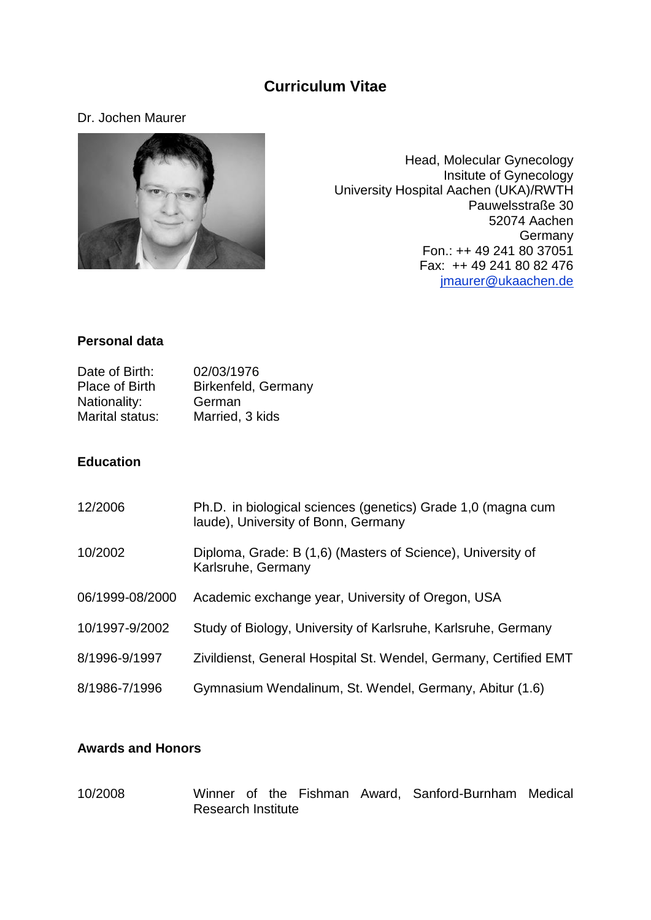# **Curriculum Vitae**

### Dr. Jochen Maurer



Head, Molecular Gynecology Insitute of Gynecology University Hospital Aachen (UKA)/RWTH Pauwelsstraße 30 52074 Aachen Germany Fon.: ++ 49 241 80 37051 Fax: ++ 49 241 80 82 476 [jmaurer@ukaachen.de](mailto:jmaurer@ukaachen.de)

#### **Personal data**

| Date of Birth:        | 02/03/1976          |
|-----------------------|---------------------|
| <b>Place of Birth</b> | Birkenfeld, Germany |
| Nationality:          | German              |
| Marital status:       | Married, 3 kids     |

### **Education**

| 12/2006         | Ph.D. in biological sciences (genetics) Grade 1,0 (magna cum<br>laude), University of Bonn, Germany |
|-----------------|-----------------------------------------------------------------------------------------------------|
| 10/2002         | Diploma, Grade: B (1,6) (Masters of Science), University of<br>Karlsruhe, Germany                   |
| 06/1999-08/2000 | Academic exchange year, University of Oregon, USA                                                   |
| 10/1997-9/2002  | Study of Biology, University of Karlsruhe, Karlsruhe, Germany                                       |
| 8/1996-9/1997   | Zivildienst, General Hospital St. Wendel, Germany, Certified EMT                                    |
| 8/1986-7/1996   | Gymnasium Wendalinum, St. Wendel, Germany, Abitur (1.6)                                             |

# **Awards and Honors**

10/2008 Winner of the Fishman Award, Sanford-Burnham Medical Research Institute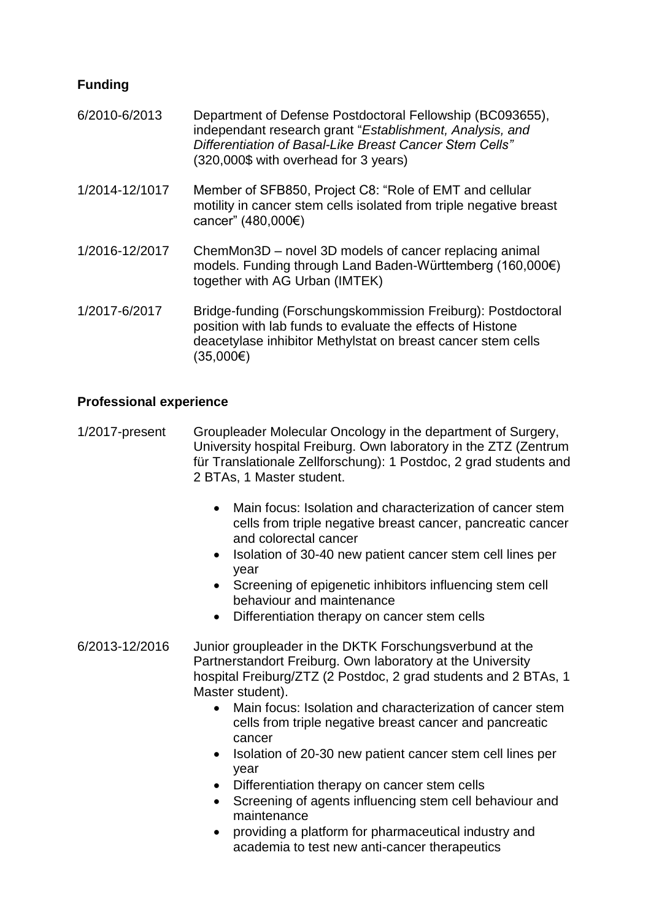# **Funding**

- 6/2010-6/2013 Department of Defense Postdoctoral Fellowship (BC093655), independant research grant "*Establishment, Analysis, and Differentiation of Basal-Like Breast Cancer Stem Cells"* (320,000\$ with overhead for 3 years) 1/2014-12/1017 Member of SFB850, Project C8: "Role of EMT and cellular motility in cancer stem cells isolated from triple negative breast
- 1/2016-12/2017 ChemMon3D novel 3D models of cancer replacing animal models. Funding through Land Baden-Württemberg (160,000€) together with AG Urban (IMTEK)

cancer" (480,000€)

1/2017-6/2017 Bridge-funding (Forschungskommission Freiburg): Postdoctoral position with lab funds to evaluate the effects of Histone deacetylase inhibitor Methylstat on breast cancer stem cells  $(35,000)$ 

## **Professional experience**

- 1/2017-present Groupleader Molecular Oncology in the department of Surgery, University hospital Freiburg. Own laboratory in the ZTZ (Zentrum für Translationale Zellforschung): 1 Postdoc, 2 grad students and 2 BTAs, 1 Master student.
	- Main focus: Isolation and characterization of cancer stem cells from triple negative breast cancer, pancreatic cancer and colorectal cancer
	- Isolation of 30-40 new patient cancer stem cell lines per year
	- Screening of epigenetic inhibitors influencing stem cell behaviour and maintenance
	- Differentiation therapy on cancer stem cells
- 6/2013-12/2016 Junior groupleader in the DKTK Forschungsverbund at the Partnerstandort Freiburg. Own laboratory at the University hospital Freiburg/ZTZ (2 Postdoc, 2 grad students and 2 BTAs, 1 Master student).
	- Main focus: Isolation and characterization of cancer stem cells from triple negative breast cancer and pancreatic cancer
	- Isolation of 20-30 new patient cancer stem cell lines per year
	- Differentiation therapy on cancer stem cells
	- Screening of agents influencing stem cell behaviour and maintenance
	- providing a platform for pharmaceutical industry and academia to test new anti-cancer therapeutics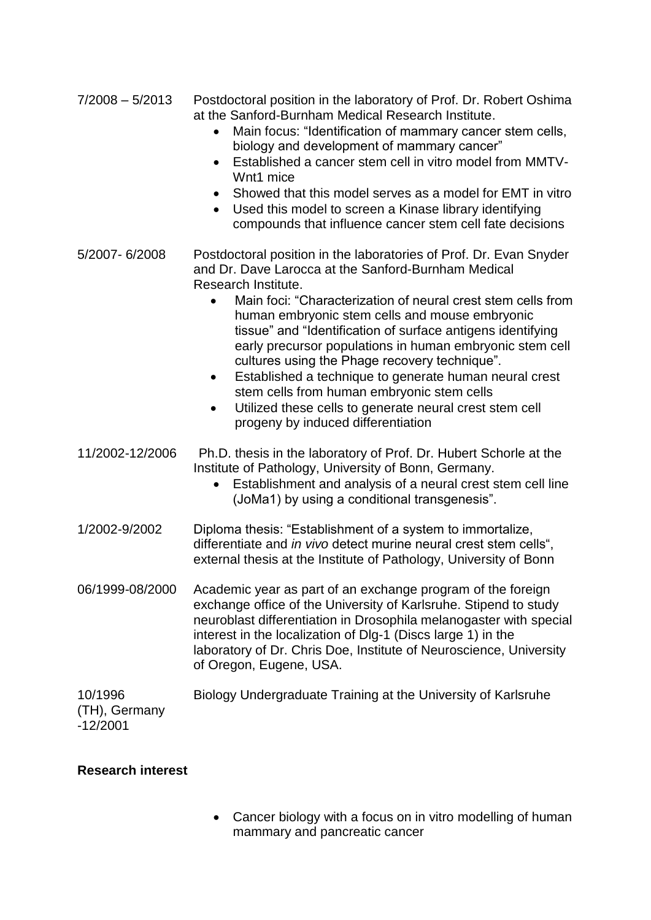- 7/2008 5/2013 Postdoctoral position in the laboratory of Prof. Dr. Robert Oshima at the Sanford-Burnham Medical Research Institute.
	- Main focus: "Identification of mammary cancer stem cells, biology and development of mammary cancer"
	- Established a cancer stem cell in vitro model from MMTV-Wnt1 mice
	- Showed that this model serves as a model for EMT in vitro
	- Used this model to screen a Kinase library identifying compounds that influence cancer stem cell fate decisions
- 5/2007- 6/2008 Postdoctoral position in the laboratories of Prof. Dr. Evan Snyder and Dr. Dave Larocca at the Sanford-Burnham Medical Research Institute.
	- Main foci: "Characterization of neural crest stem cells from human embryonic stem cells and mouse embryonic tissue" and "Identification of surface antigens identifying early precursor populations in human embryonic stem cell cultures using the Phage recovery technique".
	- Established a technique to generate human neural crest stem cells from human embryonic stem cells
	- Utilized these cells to generate neural crest stem cell progeny by induced differentiation
- 11/2002-12/2006 Ph.D. thesis in the laboratory of Prof. Dr. Hubert Schorle at the Institute of Pathology, University of Bonn, Germany.
	- Establishment and analysis of a neural crest stem cell line (JoMa1) by using a conditional transgenesis".
- 1/2002-9/2002 Diploma thesis: "Establishment of a system to immortalize, differentiate and *in vivo* detect murine neural crest stem cells", external thesis at the Institute of Pathology, University of Bonn
- 06/1999-08/2000 Academic year as part of an exchange program of the foreign exchange office of the University of Karlsruhe. Stipend to study neuroblast differentiation in Drosophila melanogaster with special interest in the localization of Dlg-1 (Discs large 1) in the laboratory of Dr. Chris Doe, Institute of Neuroscience, University of Oregon, Eugene, USA.
- 10/1996 Biology Undergraduate Training at the University of Karlsruhe (TH), Germany
- -12/2001

## **Research interest**

• Cancer biology with a focus on in vitro modelling of human mammary and pancreatic cancer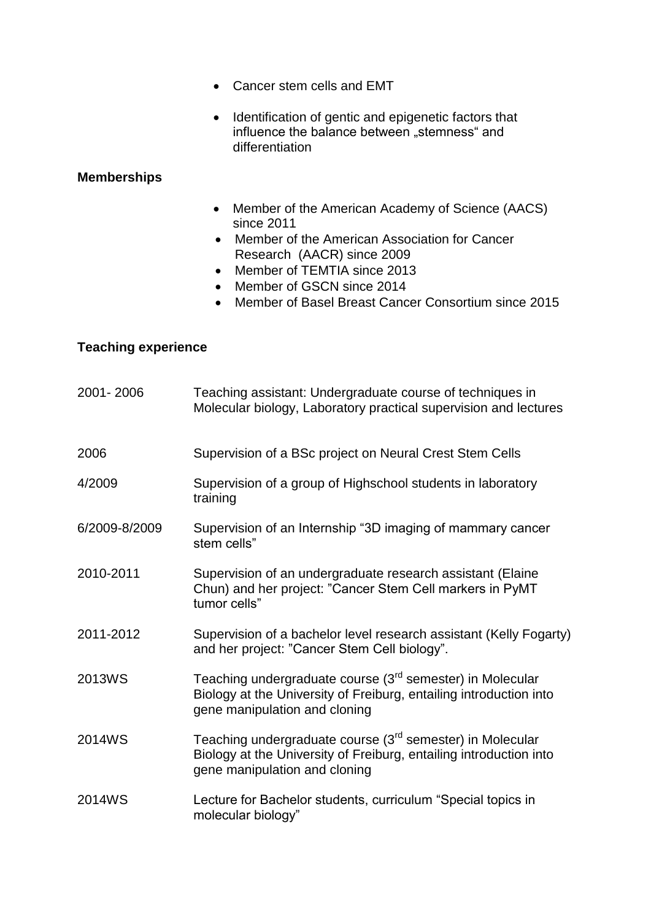- Cancer stem cells and EMT
- Identification of gentic and epigenetic factors that influence the balance between "stemness" and differentiation

# **Memberships**

- Member of the American Academy of Science (AACS) since 2011
- Member of the American Association for Cancer Research (AACR) since 2009
- Member of TEMTIA since 2013
- Member of GSCN since 2014
- Member of Basel Breast Cancer Consortium since 2015

## **Teaching experience**

| 2001-2006     | Teaching assistant: Undergraduate course of techniques in<br>Molecular biology, Laboratory practical supervision and lectures                                                |
|---------------|------------------------------------------------------------------------------------------------------------------------------------------------------------------------------|
| 2006          | Supervision of a BSc project on Neural Crest Stem Cells                                                                                                                      |
| 4/2009        | Supervision of a group of Highschool students in laboratory<br>training                                                                                                      |
| 6/2009-8/2009 | Supervision of an Internship "3D imaging of mammary cancer<br>stem cells"                                                                                                    |
| 2010-2011     | Supervision of an undergraduate research assistant (Elaine<br>Chun) and her project: "Cancer Stem Cell markers in PyMT<br>tumor cells"                                       |
| 2011-2012     | Supervision of a bachelor level research assistant (Kelly Fogarty)<br>and her project: "Cancer Stem Cell biology".                                                           |
| 2013WS        | Teaching undergraduate course (3 <sup>rd</sup> semester) in Molecular<br>Biology at the University of Freiburg, entailing introduction into<br>gene manipulation and cloning |
| 2014WS        | Teaching undergraduate course (3 <sup>rd</sup> semester) in Molecular<br>Biology at the University of Freiburg, entailing introduction into<br>gene manipulation and cloning |
| 2014WS        | Lecture for Bachelor students, curriculum "Special topics in<br>molecular biology"                                                                                           |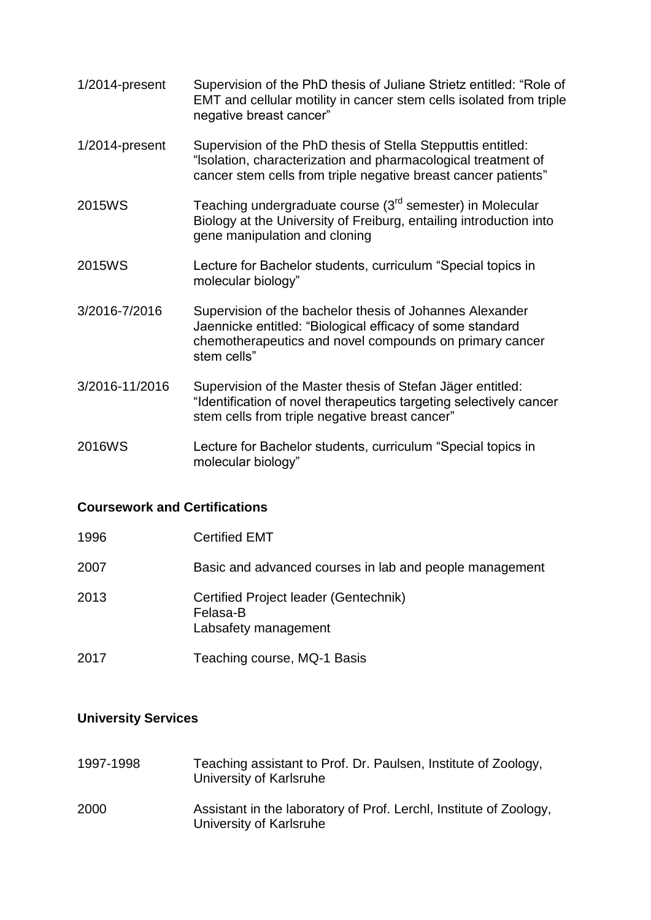- 1/2014-present Supervision of the PhD thesis of Juliane Strietz entitled: "Role of EMT and cellular motility in cancer stem cells isolated from triple negative breast cancer"
- 1/2014-present Supervision of the PhD thesis of Stella Stepputtis entitled: "lsolation, characterization and pharmacological treatment of cancer stem cells from triple negative breast cancer patients"
- 2015WS Teaching undergraduate course (3rd semester) in Molecular Biology at the University of Freiburg, entailing introduction into gene manipulation and cloning
- 2015WS Lecture for Bachelor students, curriculum "Special topics in molecular biology"
- 3/2016-7/2016 Supervision of the bachelor thesis of Johannes Alexander Jaennicke entitled: "Biological efficacy of some standard chemotherapeutics and novel compounds on primary cancer stem cells"
- 3/2016-11/2016 Supervision of the Master thesis of Stefan Jäger entitled: "Identification of novel therapeutics targeting selectively cancer stem cells from triple negative breast cancer"
- 2016WS Lecture for Bachelor students, curriculum "Special topics in molecular biology"

#### **Coursework and Certifications**

| 1996 | <b>Certified EMT</b>                                                      |
|------|---------------------------------------------------------------------------|
| 2007 | Basic and advanced courses in lab and people management                   |
| 2013 | Certified Project leader (Gentechnik)<br>Felasa-B<br>Labsafety management |
| 2017 | Teaching course, MQ-1 Basis                                               |

## **University Services**

1997-1998 Teaching assistant to Prof. Dr. Paulsen, Institute of Zoology, University of Karlsruhe 2000 Assistant in the laboratory of Prof. Lerchl, Institute of Zoology, University of Karlsruhe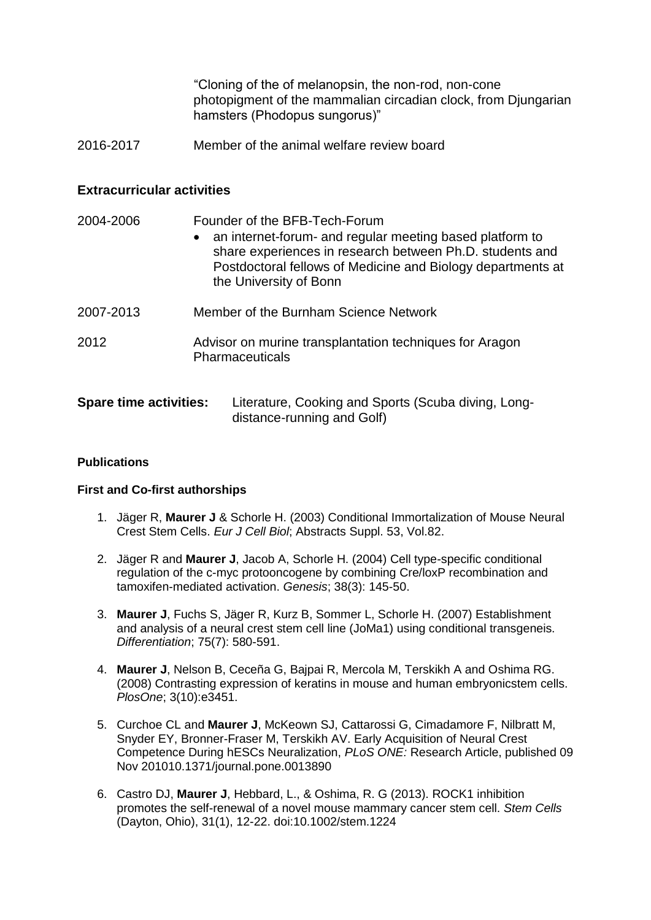"Cloning of the of melanopsin, the non-rod, non-cone photopigment of the mammalian circadian clock, from Djungarian hamsters (Phodopus sungorus)"

2016-2017 Member of the animal welfare review board

#### **Extracurricular activities**

| 2004-2006                     | Founder of the BFB-Tech-Forum<br>an internet-forum- and regular meeting based platform to<br>$\bullet$<br>share experiences in research between Ph.D. students and<br>Postdoctoral fellows of Medicine and Biology departments at<br>the University of Bonn |
|-------------------------------|-------------------------------------------------------------------------------------------------------------------------------------------------------------------------------------------------------------------------------------------------------------|
| 2007-2013                     | Member of the Burnham Science Network                                                                                                                                                                                                                       |
| 2012                          | Advisor on murine transplantation techniques for Aragon<br><b>Pharmaceuticals</b>                                                                                                                                                                           |
| <b>Spare time activities:</b> | Literature, Cooking and Sports (Scuba diving, Long-                                                                                                                                                                                                         |

distance-running and Golf)

#### **Publications**

#### **First and Co-first authorships**

- 1. Jäger R, **Maurer J** & Schorle H. (2003) Conditional Immortalization of Mouse Neural Crest Stem Cells. *Eur J Cell Biol*; Abstracts Suppl. 53, Vol.82.
- 2. Jäger R and **Maurer J**, Jacob A, Schorle H. (2004) Cell type-specific conditional regulation of the c-myc protooncogene by combining Cre/loxP recombination and tamoxifen-mediated activation. *Genesis*; 38(3): 145-50.
- 3. **Maurer J**, Fuchs S, Jäger R, Kurz B, Sommer L, Schorle H. (2007) Establishment and analysis of a neural crest stem cell line (JoMa1) using conditional transgeneis. *Differentiation*; 75(7): 580-591.
- 4. **Maurer J**, Nelson B, Ceceña G, Bajpai R, Mercola M, Terskikh A and Oshima RG. (2008) Contrasting expression of keratins in mouse and human embryonicstem cells. *PlosOne*; 3(10):e3451.
- 5. Curchoe CL and **Maurer J**, McKeown SJ, Cattarossi G, Cimadamore F, Nilbratt M, Snyder EY, Bronner-Fraser M, Terskikh AV. Early Acquisition of Neural Crest Competence During hESCs Neuralization, *PLoS ONE:* Research Article, published 09 Nov 201010.1371/journal.pone.0013890
- 6. Castro DJ, **Maurer J**, Hebbard, L., & Oshima, R. G (2013). ROCK1 inhibition promotes the self-renewal of a novel mouse mammary cancer stem cell. *Stem Cells* (Dayton, Ohio), 31(1), 12-22. doi:10.1002/stem.1224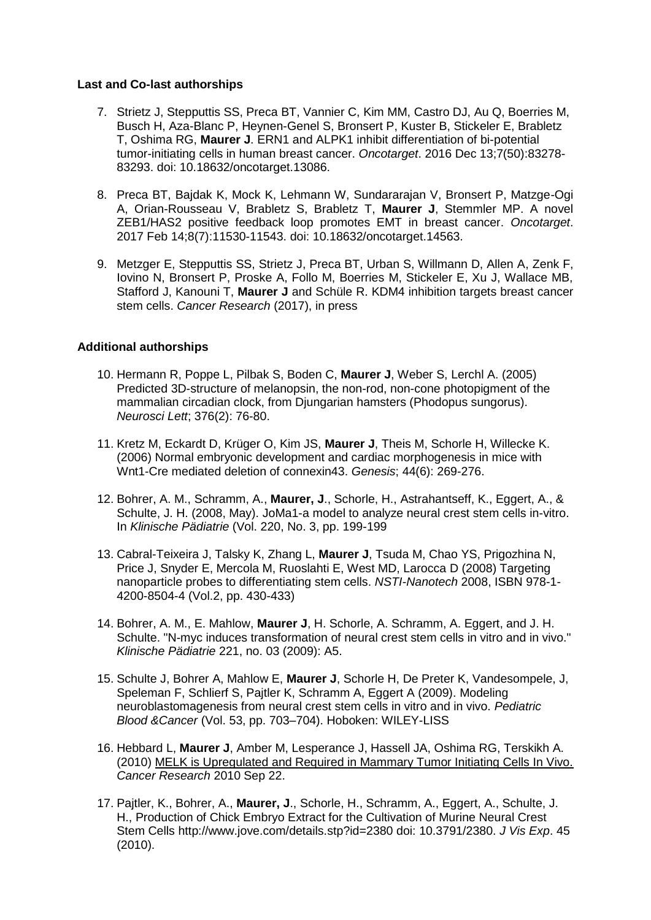#### **Last and Co-last authorships**

- 7. Strietz J, Stepputtis SS, Preca BT, Vannier C, Kim MM, Castro DJ, Au Q, Boerries M, Busch H, Aza-Blanc P, Heynen-Genel S, Bronsert P, Kuster B, Stickeler E, Brabletz T, Oshima RG, **Maurer J**. ERN1 and ALPK1 inhibit differentiation of bi-potential tumor-initiating cells in human breast cancer. *Oncotarget*. 2016 Dec 13;7(50):83278- 83293. doi: 10.18632/oncotarget.13086.
- 8. Preca BT, Bajdak K, Mock K, Lehmann W, Sundararajan V, Bronsert P, Matzge-Ogi A, Orian-Rousseau V, Brabletz S, Brabletz T, **Maurer J**, Stemmler MP. A novel ZEB1/HAS2 positive feedback loop promotes EMT in breast cancer. *Oncotarget*. 2017 Feb 14;8(7):11530-11543. doi: 10.18632/oncotarget.14563.
- 9. Metzger E, Stepputtis SS, Strietz J, Preca BT, Urban S, Willmann D, Allen A, Zenk F, Iovino N, Bronsert P, Proske A, Follo M, Boerries M, Stickeler E, Xu J, Wallace MB, Stafford J, Kanouni T, **Maurer J** and Schüle R. KDM4 inhibition targets breast cancer stem cells. *Cancer Research* (2017), in press

#### **Additional authorships**

- 10. Hermann R, Poppe L, Pilbak S, Boden C, **Maurer J**, Weber S, Lerchl A. (2005) Predicted 3D-structure of melanopsin, the non-rod, non-cone photopigment of the mammalian circadian clock, from Djungarian hamsters (Phodopus sungorus). *Neurosci Lett*; 376(2): 76-80.
- 11. Kretz M, Eckardt D, Krüger O, Kim JS, **Maurer J**, Theis M, Schorle H, Willecke K. (2006) Normal embryonic development and cardiac morphogenesis in mice with Wnt1-Cre mediated deletion of connexin43. *Genesis*; 44(6): 269-276.
- 12. Bohrer, A. M., Schramm, A., **Maurer, J**., Schorle, H., Astrahantseff, K., Eggert, A., & Schulte, J. H. (2008, May). JoMa1-a model to analyze neural crest stem cells in-vitro. In *Klinische Pädiatrie* (Vol. 220, No. 3, pp. 199-199
- 13. Cabral-Teixeira J, Talsky K, Zhang L, **Maurer J**, Tsuda M, Chao YS, Prigozhina N, Price J, Snyder E, Mercola M, Ruoslahti E, West MD, Larocca D (2008) Targeting nanoparticle probes to differentiating stem cells. *NSTI-Nanotech* 2008, ISBN 978-1- 4200-8504-4 (Vol.2, pp. 430-433)
- 14. Bohrer, A. M., E. Mahlow, **Maurer J**, H. Schorle, A. Schramm, A. Eggert, and J. H. Schulte. "N-myc induces transformation of neural crest stem cells in vitro and in vivo." *Klinische Pädiatrie* 221, no. 03 (2009): A5.
- 15. Schulte J, Bohrer A, Mahlow E, **Maurer J**, Schorle H, De Preter K, Vandesompele, J, Speleman F, Schlierf S, Pajtler K, Schramm A, Eggert A (2009). Modeling neuroblastomagenesis from neural crest stem cells in vitro and in vivo. *Pediatric Blood &Cancer* (Vol. 53, pp. 703–704). Hoboken: WILEY-LISS
- 16. Hebbard L, **Maurer J**, Amber M, Lesperance J, Hassell JA, Oshima RG, Terskikh A. (2010) [MELK is Upregulated and Required in Mammary Tumor Initiating Cells In Vivo.](http://www.ncbi.nlm.nih.gov/pubmed/20861186) *Cancer Research* 2010 Sep 22.
- 17. Pajtler, K., Bohrer, A., **Maurer, J**., Schorle, H., Schramm, A., Eggert, A., Schulte, J. H., Production of Chick Embryo Extract for the Cultivation of Murine Neural Crest Stem Cells http://www.jove.com/details.stp?id=2380 doi: 10.3791/2380. *J Vis Exp*. 45 (2010).